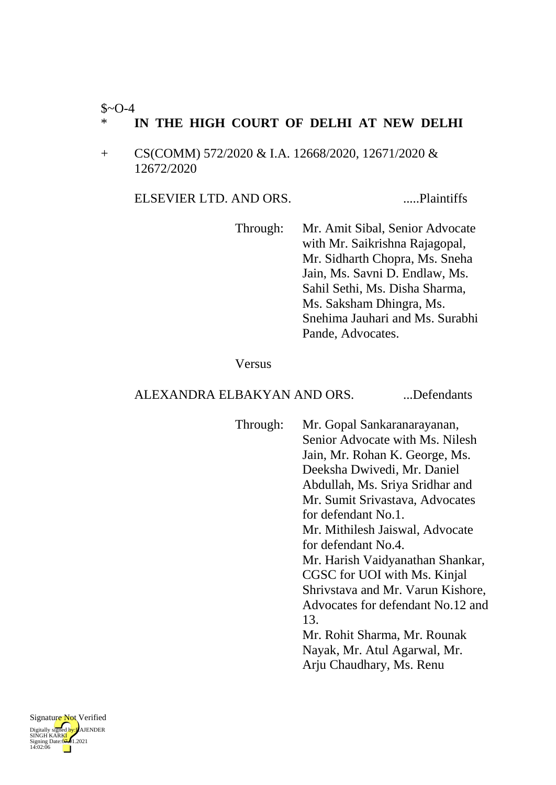#### $$~0-4$

### \* **IN THE HIGH COURT OF DELHI AT NEW DELHI**

+ CS(COMM) 572/2020 & I.A. 12668/2020, 12671/2020 & 12672/2020

ELSEVIER LTD. AND ORS. .....Plaintiffs

Through: Mr. Amit Sibal, Senior Advocate with Mr. Saikrishna Rajagopal, Mr. Sidharth Chopra, Ms. Sneha Jain, Ms. Savni D. Endlaw, Ms. Sahil Sethi, Ms. Disha Sharma, Ms. Saksham Dhingra, Ms. Snehima Jauhari and Ms. Surabhi Pande, Advocates.

#### Versus

### ALEXANDRA ELBAKYAN AND ORS. ...Defendants

Through: Mr. Gopal Sankaranarayanan, Senior Advocate with Ms. Nilesh Jain, Mr. Rohan K. George, Ms. Deeksha Dwivedi, Mr. Daniel Abdullah, Ms. Sriya Sridhar and Mr. Sumit Srivastava, Advocates for defendant No.1. Mr. Mithilesh Jaiswal, Advocate for defendant No.4. Mr. Harish Vaidyanathan Shankar, CGSC for UOI with Ms. Kinjal Shrivstava and Mr. Varun Kishore, Advocates for defendant No.12 and 13. Mr. Rohit Sharma, Mr. Rounak Nayak, Mr. Atul Agarwal, Mr. Arju Chaudhary, Ms. Renu

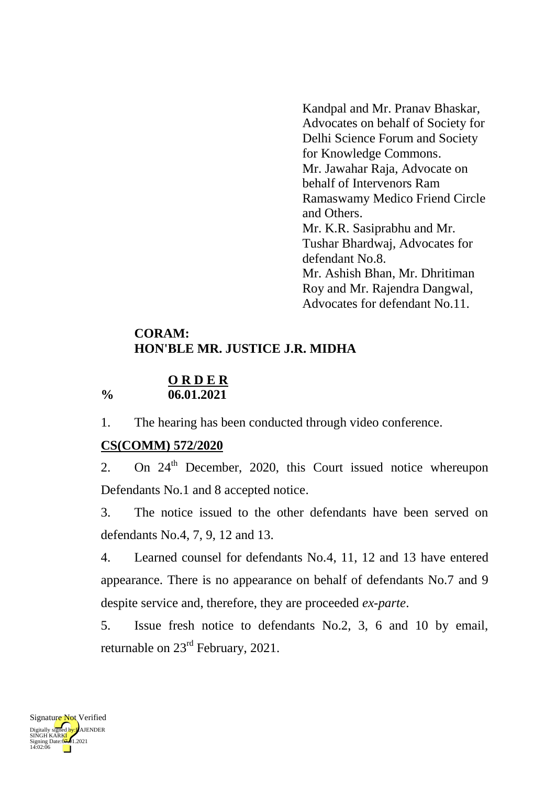Kandpal and Mr. Pranav Bhaskar, Advocates on behalf of Society for Delhi Science Forum and Society for Knowledge Commons. Mr. Jawahar Raja, Advocate on behalf of Intervenors Ram Ramaswamy Medico Friend Circle and Others. Mr. K.R. Sasiprabhu and Mr. Tushar Bhardwaj, Advocates for defendant No.8. Mr. Ashish Bhan, Mr. Dhritiman Roy and Mr. Rajendra Dangwal, Advocates for defendant No.11.

# **CORAM: HON'BLE MR. JUSTICE J.R. MIDHA**

### **O R D E R % 06.01.2021**

1. The hearing has been conducted through video conference.

# **CS(COMM) 572/2020**

2. On 24<sup>th</sup> December, 2020, this Court issued notice whereupon Defendants No.1 and 8 accepted notice.

3. The notice issued to the other defendants have been served on defendants No.4, 7, 9, 12 and 13.

4. Learned counsel for defendants No.4, 11, 12 and 13 have entered appearance. There is no appearance on behalf of defendants No.7 and 9 despite service and, therefore, they are proceeded *ex-parte*.

5. Issue fresh notice to defendants No.2, 3, 6 and 10 by email, returnable on 23rd February, 2021.

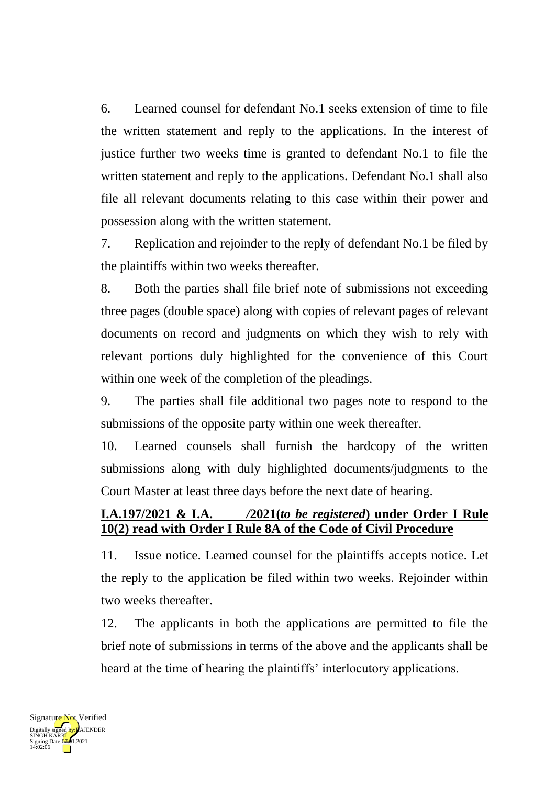6. Learned counsel for defendant No.1 seeks extension of time to file the written statement and reply to the applications. In the interest of justice further two weeks time is granted to defendant No.1 to file the written statement and reply to the applications. Defendant No.1 shall also file all relevant documents relating to this case within their power and possession along with the written statement.

7. Replication and rejoinder to the reply of defendant No.1 be filed by the plaintiffs within two weeks thereafter.

8. Both the parties shall file brief note of submissions not exceeding three pages (double space) along with copies of relevant pages of relevant documents on record and judgments on which they wish to rely with relevant portions duly highlighted for the convenience of this Court within one week of the completion of the pleadings.

9. The parties shall file additional two pages note to respond to the submissions of the opposite party within one week thereafter.

10. Learned counsels shall furnish the hardcopy of the written submissions along with duly highlighted documents/judgments to the Court Master at least three days before the next date of hearing.

# **I.A.197/2021 & I.A.** */***2021(***to be registered***) under Order I Rule 10(2) read with Order I Rule 8A of the Code of Civil Procedure**

11. Issue notice. Learned counsel for the plaintiffs accepts notice. Let the reply to the application be filed within two weeks. Rejoinder within two weeks thereafter.

12. The applicants in both the applications are permitted to file the brief note of submissions in terms of the above and the applicants shall be heard at the time of hearing the plaintiffs' interlocutory applications.